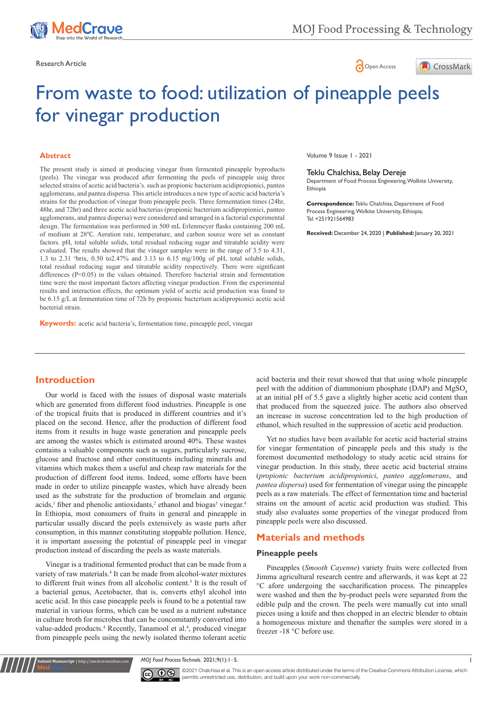





# From waste to food: utilization of pineapple peels for vinegar production

## **Abstract**

The present study is aimed at producing vinegar from fermented pineapple byproducts (peels). The vinegar was produced after fermenting the peels of pineapple usig three selected strains of acetic acid bacteria's. such as propionic bacterium acidipropionici, panteo agglomerans, and pantea dispersa. This article introduces a new type of acetic acid bacteria's strains for the production of vinegar from pineapple peels. Three fermentation times (24hr, 48hr, and 72hr) and three acetic acid bacterias (propionic bacterium acidipropionici, panteo agglomerans, and pantea dispersa) were considered and arranged in a factorial experimental design. The fermentation was performed in 500 mL Erlenmeyer flasks containing 200 mL of medium at 28℃. Aeration rate, temperature, and carbon source were set as constant factors. pH, total soluble solids, total residual reducing sugar and titratable acidity were evaluated. The results showed that the vinager samples were in the range of 3.5 to 4.31, 1.3 to 2.31  $\text{Ob}$  brix, 0.50 to 2.47% and 3.13 to 6.15 mg/100g of pH, total soluble solids, total residual reducing sugar and titratable acidity respectively. There were significant differences (P<0.05) in the values obtained. Therefore bacterial strain and fermentation time were the most important factors affecting vinegar production. From the experimental results and interaction effects, the optimum yield of acetic acid production was found to be 6.15 g/L at fermentation time of 72h by propionic bacterium acidipropionici acetic acid bacterial strain.

**Keywords:** acetic acid bacteria's, fermentation time, pineapple peel, vinegar

Volume 9 Issue 1 - 2021

#### Teklu Chalchisa, Belay Dereje

Department of Food Process Engineering, Wolkite University, Ethiopia

**Correspondence:** Teklu Chalchisa, Department of Food Process Engineering, Wolkite University, Ethiopia, Tel +251921564983

**Received:** December 24, 2020 | **Published:** January 20, 2021

# **Introduction**

Our world is faced with the issues of disposal waste materials which are generated from different food industries. Pineapple is one of the tropical fruits that is produced in different countries and it's placed on the second. Hence, after the production of different food items from it results in huge waste generation and pineapple peels are among the wastes which is estimated around 40%. These wastes contains a valuable components such as sugars, particularly sucrose, glucose and fructose and other constituents including minerals and vitamins which makes them a useful and cheap raw materials for the production of different food items. Indeed, some efforts have been made in order to utilize pineapple wastes, which have already been used as the substrate for the production of bromelain and organic acids,<sup>1</sup> fiber and phenolic antioxidants,<sup>2</sup> ethanol and biogas<sup>3</sup> vinegar.<sup>4</sup> In Ethiopia, most consumers of fruits in general and pineapple in particular usually discard the peels extensively as waste parts after consumption, in this manner constituting stoppable pollution. Hence, it is important assessing the potential of pineapple peel in vinegar production instead of discarding the peels as waste materials.

Vinegar is a traditional fermented product that can be made from a variety of raw materials.<sup>4</sup> It can be made from alcohol-water mixtures to different fruit wines from all alcoholic content.<sup>5</sup> It is the result of a bacterial genus, Acetobacter, that is, converts ethyl alcohol into acetic acid. In this case pineapple peels is found to be a potential raw material in various forms, which can be used as a nutrient substance in culture broth for microbes that can be concomitantly converted into value-added products.<sup>4</sup> Recently, Tanamool et al.<sup>4</sup>, produced vinegar from pineapple peels using the newly isolated thermo tolerant acetic

**Submit Manuscript** | http://medcraveonline.com

acid bacteria and their resut showed that that using whole pineapple peel with the addition of diammonium phosphate (DAP) and  $MgSO<sub>4</sub>$ at an initial pH of 5.5 gave a slightly higher acetic acid content than that produced from the squeezed juice. The authors also observed an increase in sucrose concentration led to the high production of ethanol, which resulted in the suppression of acetic acid production.

Yet no studies have been available for acetic acid bacterial strains for vinegar fermentation of pineapple peels and this study is the foremost documented methodology to study acetic acid strains for vinegar production. In this study, three acetic acid bacterial strains (*propionic bacterium acidipropionici*, *panteo agglomerans*, and *pantea dispersa*) used for fermentation of vinegar using the pineapple peels as a raw materials. The effect of fermentation time and bacterial strains on the amount of acetic acid production was studied. This study also evaluates some properties of the vinegar produced from pineapple peels were also discussed.

# **Materials and methods**

## **Pineapple peels**

Pineapples (*Smooth Cayenne*) variety fruits were collected from Jimma agricultural research centre and afterwards, it was kept at 22 °C afore undergoing the saccharification process. The pineapples were washed and then the by-product peels were separated from the edible pulp and the crown. The peels were manually cut into small pieces using a knife and then chopped in an electric blender to obtain a homogeneous mixture and thenafter the samples were stored in a freezer -18 °C before use.

*MOJ Food Process Technols.* 2021;9(1):1‒5. 1



©2021 Chalchisa et al. This is an open access article distributed under the terms of the [Creative Commons Attribution License,](https://creativecommons.org/licenses/by-nc/4.0/) which permits unrestricted use, distribution, and build upon your work non-commercially.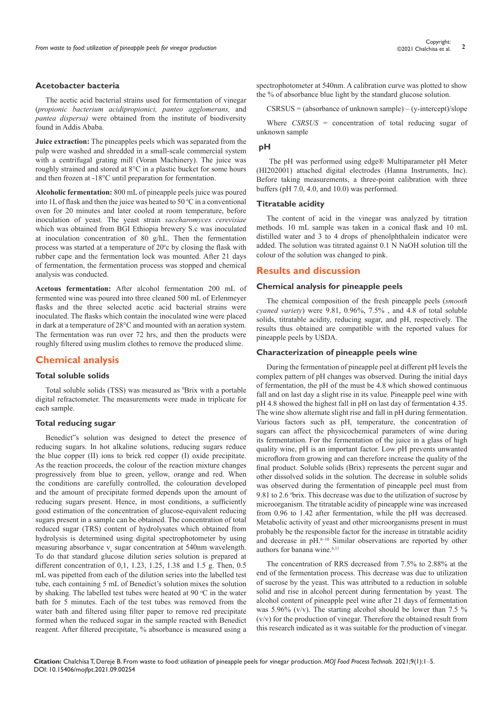## **Acetobacter bacteria**

The acetic acid bacterial strains used for fermentation of vinegar (*propionic bacterium acidipropionici, panteo agglomerans,* and *pantea dispersa)* were obtained from the institute of biodiversity found in Addis Ababa.

**Juice extraction:** The pineapples peels which was separated from the pulp were washed and shredded in a small-scale commercial system with a centrifugal grating mill (Voran Machinery). The juice was roughly strained and stored at 8°C in a plastic bucket for some hours and then frozen at -18°C until preparation for fermentation.

**Alcoholic fermentation:** 800 mL of pineapple peels juice was poured into 1L of flask and then the juice was heated to 50  $\degree$ C in a conventional oven for 20 minutes and later cooled at room temperature, before inoculation of yeast. The yeast strain *saccharomyces cerevisiae* which was obtained from BGI Ethiopia brewery S.c was inoculated at inoculation concentration of 80 g/hL. Then the fermentation process was started at a temperature of  $20^{\circ}$ c by closing the flask with rubber cape and the fermentation lock was mounted. After 21 days of fermentation, the fermentation process was stopped and chemical analysis was conducted.

**Acetous fermentation:** After alcohol fermentation 200 mL of fermented wine was poured into three cleaned 500 mL of Erlenmeyer flasks and the three selected acetic acid bacterial strains were inoculated. The flasks which contain the inoculated wine were placed in dark at a temperature of 28°C and mounted with an aeration system. The fermentation was run over 72 hrs, and then the products were roughly filtered using muslim clothes to remove the produced slime.

# **Chemical analysis**

## **Total soluble solids**

Total soluble solids (TSS) was measured as <sup>0</sup>Brix with a portable digital refractometer. The measurements were made in triplicate for each sample.

## **Total reducing sugar**

Benedict"s solution was designed to detect the presence of reducing sugars. In hot alkaline solutions, reducing sugars reduce the blue copper (II) ions to brick red copper (I) oxide precipitate. As the reaction proceeds, the colour of the reaction mixture changes progressively from blue to green, yellow, orange and red. When the conditions are carefully controlled, the colouration developed and the amount of precipitate formed depends upon the amount of reducing sugars present. Hence, in most conditions, a sufficiently good estimation of the concentration of glucose-equivalent reducing sugars present in a sample can be obtained. The concentration of total reduced sugar (TRS) content of hydrolysates which obtained from hydrolysis is determined using digital spectrophotometer by using measuring absorbance  $v_s$  sugar concentration at 540nm wavelength. To do that standard glucose dilution series solution is prepared at different concentration of 0,1, 1.23, 1.25, 1.38 and 1.5 g. Then, 0.5 mL was pipetted from each of the dilution series into the labelled test tube, each containing 5 mL of Benedict's solution mixes the solution by shaking. The labelled test tubes were heated at  $90 °C$  in the water bath for 5 minutes. Each of the test tubes was removed from the water bath and filtered using filter paper to remove red precipitate formed when the reduced sugar in the sample reacted with Benedict reagent. After filtered precipitate, % absorbance is measured using a

spectrophotometer at 540nm. A calibration curve was plotted to show the % of absorbance blue light by the standard glucose solution.

 $CSRSUS = (absorbance of unknown sample) - (v-intercept)/slope$ 

Where *CSRSUS* = concentration of total reducing sugar of unknown sample

# **pH**

 The pH was performed using edge® Multiparameter pH Meter (HI202001) attached digital electrodes (Hanna Instruments, Inc). Before taking measurements, a three-point calibration with three buffers (pH 7.0, 4.0, and 10.0) was performed.

## **Titratable acidity**

The content of acid in the vinegar was analyzed by titration methods. 10 mL sample was taken in a conical flask and 10 mL distilled water and 3 to 4 drops of phenolphthalein indicator were added. The solution was titrated against 0.1 N NaOH solution till the colour of the solution was changed to pink.

# **Results and discussion**

## **Chemical analysis for pineapple peels**

The chemical composition of the fresh pineapple peels (*smooth cyaned variety*) were 9.81, 0.96%, 7.5% , and 4.8 of total soluble solids, titratable acidity, reducing sugar, and pH, respectively. The results thus obtained are compatible with the reported values for pineapple peels by USDA.

#### **Characterization of pineapple peels wine**

During the fermentation of pineapple peel at different pH levels the complex pattern of pH changes was observed. During the initial days of fermentation, the pH of the must be 4.8 which showed continuous fall and on last day a slight rise in its value. Pineapple peel wine with pH 4.8 showed the highest fall in pH on last day of fermentation 4.35. The wine show alternate slight rise and fall in pH during fermentation. Various factors such as pH, temperature, the concentration of sugars can affect the physicochemical parameters of wine during its fermentation. For the fermentation of the juice in a glass of high quality wine, pH is an important factor. Low pH prevents unwanted microflora from growing and can therefore increase the quality of the final product. Soluble solids (Brix) represents the percent sugar and other dissolved solids in the solution. The decrease in soluble solids was observed during the fermentation of pineapple peel must from 9.81 to 2.6 <sup>o</sup>brix. This decrease was due to the utilization of sucrose by microorganism. The titratable acidity of pineapple wine was increased from 0.96 to 1.42 after fermentation, while the pH was decreased. Metabolic activity of yeast and other microorganisms present in must probably be the responsible factor for the increase in titratable acidity and decrease in pH.<sup>6-10</sup> Similar observations are reported by other authors for banana wine.<sup>6,11</sup>

The concentration of RRS decreased from 7.5% to 2.88% at the end of the fermentation process. This decrease was due to utilization of sucrose by the yeast. This was attributed to a reduction in soluble solid and rise in alcohol percent during fermentation by yeast. The alcohol content of pineapple peel wine after 21 days of fermentation was 5.96%  $(v/v)$ . The starting alcohol should be lower than 7.5 % (v/v) for the production of vinegar. Therefore the obtained result from this research indicated as it was suitable for the production of vinegar.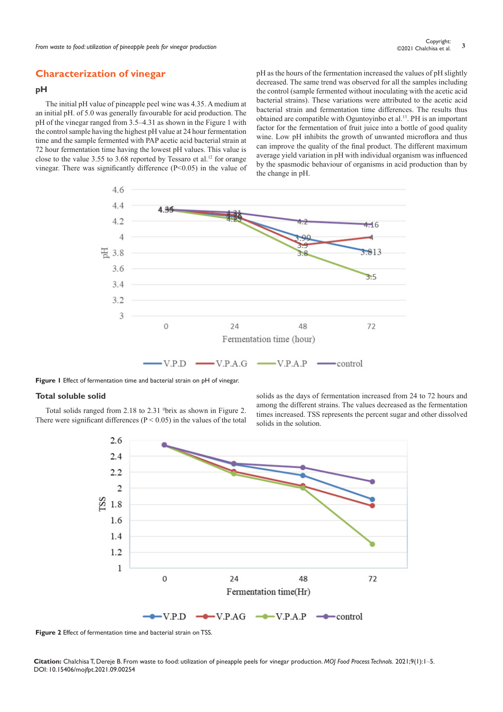# **Characterization of vinegar**

# **pH**

The initial pH value of pineapple peel wine was 4.35. A medium at an initial pH. of 5.0 was generally favourable for acid production. The pH of the vinegar ranged from 3.5–4.31 as shown in the Figure 1 with the control sample having the highest pH value at 24 hour fermentation time and the sample fermented with PAP acetic acid bacterial strain at 72 hour fermentation time having the lowest pH values. This value is close to the value 3.55 to 3.68 reported by Tessaro et al.<sup>12</sup> for orange vinegar. There was significantly difference (P<0.05) in the value of pH as the hours of the fermentation increased the values of pH slightly decreased. The same trend was observed for all the samples including the control (sample fermented without inoculating with the acetic acid bacterial strains). These variations were attributed to the acetic acid bacterial strain and fermentation time differences. The results thus obtained are compatible with Oguntoyinbo et al.13. PH is an important factor for the fermentation of fruit juice into a bottle of good quality wine. Low pH inhibits the growth of unwanted microflora and thus can improve the quality of the final product. The different maximum average yield variation in pH with individual organism was influenced by the spasmodic behaviour of organisms in acid production than by the change in pH.



**Figure 1** Effect of fermentation time and bacterial strain on pH of vinegar.

## **Total soluble solid**

Total solids ranged from 2.18 to 2.31 <sup>0</sup>brix as shown in Figure 2. There were significant differences ( $P < 0.05$ ) in the values of the total solids as the days of fermentation increased from 24 to 72 hours and among the different strains. The values decreased as the fermentation times increased. TSS represents the percent sugar and other dissolved solids in the solution.



**Figure 2** Effect of fermentation time and bacterial strain on TSS.

**Citation:** Chalchisa T, Dereje B. From waste to food: utilization of pineapple peels for vinegar production. *MOJ Food Process Technols.* 2021;9(1):1‒5. DOI: [10.15406/mojfpt.2021.09.00254](https://doi.org/10.15406/mojfpt.2021.09.00254)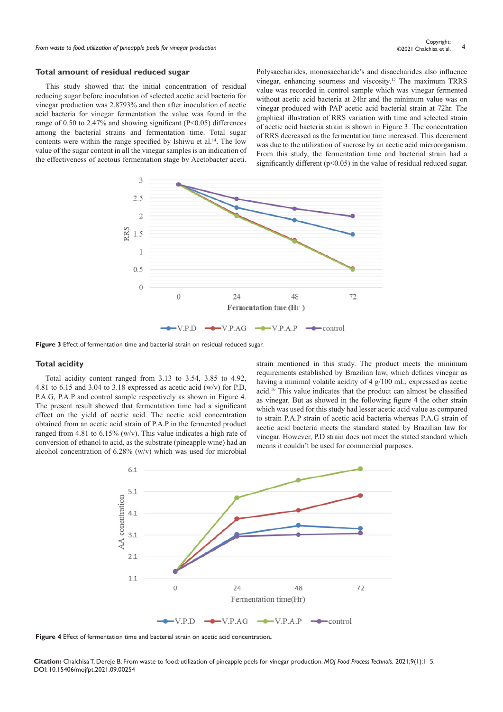*From waste to food: utilization of pineapple peels for vinegar production* **<sup>4</sup>** Copyright:

# **Total amount of residual reduced sugar**

This study showed that the initial concentration of residual reducing sugar before inoculation of selected acetic acid bacteria for vinegar production was 2.8793% and then after inoculation of acetic acid bacteria for vinegar fermentation the value was found in the range of 0.50 to 2.47% and showing significant (P<0.05) differences among the bacterial strains and fermentation time. Total sugar contents were within the range specified by Ishiwu et al.<sup>14</sup>. The low value of the sugar content in all the vinegar samples is an indication of the effectiveness of acetous fermentation stage by Acetobacter aceti.

Polysaccharides, monosaccharide's and disaccharides also influence vinegar, enhancing sourness and viscosity.15 The maximum TRRS value was recorded in control sample which was vinegar fermented without acetic acid bacteria at 24hr and the minimum value was on vinegar produced with PAP acetic acid bacterial strain at 72hr. The graphical illustration of RRS variation with time and selected strain of acetic acid bacteria strain is shown in Figure 3. The concentration of RRS decreased as the fermentation time increased. This decrement was due to the utilization of sucrose by an acetic acid microorganism. From this study, the fermentation time and bacterial strain had a significantly different ( $p<0.05$ ) in the value of residual reduced sugar.



**Figure 3** Effect of fermentation time and bacterial strain on residual reduced sugar.

## **Total acidity**

Total acidity content ranged from 3.13 to 3.54, 3.85 to 4.92, 4.81 to 6.15 and 3.04 to 3.18 expressed as acetic acid  $(w/v)$  for P.D. P.A.G, P.A.P and control sample respectively as shown in Figure 4. The present result showed that fermentation time had a significant effect on the yield of acetic acid. The acetic acid concentration obtained from an acetic acid strain of P.A.P in the fermented product ranged from 4.81 to  $6.15\%$  (w/v). This value indicates a high rate of conversion of ethanol to acid, as the substrate (pineapple wine) had an alcohol concentration of 6.28% (w/v) which was used for microbial

strain mentioned in this study. The product meets the minimum requirements established by Brazilian law, which defines vinegar as having a minimal volatile acidity of 4 g/100 mL, expressed as acetic acid.16 This value indicates that the product can almost be classified as vinegar. But as showed in the following figure 4 the other strain which was used for this study had lesser acetic acid value as compared to strain P.A.P strain of acetic acid bacteria whereas P.A.G strain of acetic acid bacteria meets the standard stated by Brazilian law for vinegar. However, P.D strain does not meet the stated standard which means it couldn't be used for commercial purposes.



**Figure 4** Effect of fermentation time and bacterial strain on acetic acid concentration**.** 

**Citation:** Chalchisa T, Dereje B. From waste to food: utilization of pineapple peels for vinegar production. *MOJ Food Process Technols.* 2021;9(1):1‒5. DOI: [10.15406/mojfpt.2021.09.00254](https://doi.org/10.15406/mojfpt.2021.09.00254)